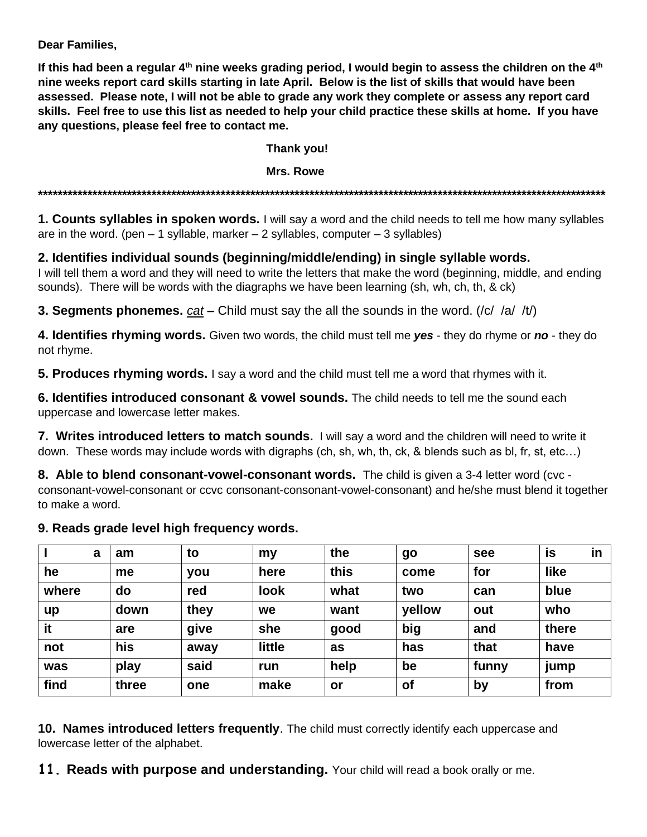**Dear Families,**

**If this had been a regular 4th nine weeks grading period, I would begin to assess the children on the 4th nine weeks report card skills starting in late April. Below is the list of skills that would have been assessed. Please note, I will not be able to grade any work they complete or assess any report card skills. Feel free to use this list as needed to help your child practice these skills at home. If you have any questions, please feel free to contact me.**

## **Thank you!**

## **Mrs. Rowe**

**\*\*\*\*\*\*\*\*\*\*\*\*\*\*\*\*\*\*\*\*\*\*\*\*\*\*\*\*\*\*\*\*\*\*\*\*\*\*\*\*\*\*\*\*\*\*\*\*\*\*\*\*\*\*\*\*\*\*\*\*\*\*\*\*\*\*\*\*\*\*\*\*\*\*\*\*\*\*\*\*\*\*\*\*\*\*\*\*\*\*\*\*\*\*\*\*\*\*\*\*\*\*\*\*\*\*\*\*\*\*\*\*\*\*\***

**1. Counts syllables in spoken words.** I will say a word and the child needs to tell me how many syllables are in the word. (pen  $-1$  syllable, marker  $-2$  syllables, computer  $-3$  syllables)

## **2. Identifies individual sounds (beginning/middle/ending) in single syllable words.**

I will tell them a word and they will need to write the letters that make the word (beginning, middle, and ending sounds). There will be words with the diagraphs we have been learning (sh, wh, ch, th, & ck)

**3. Segments phonemes.** *cat* **–** Child must say the all the sounds in the word. (/c/ /a/ /t/)

**4. Identifies rhyming words.** Given two words, the child must tell me *yes* - they do rhyme or *no* - they do not rhyme.

**5. Produces rhyming words.** I say a word and the child must tell me a word that rhymes with it.

**6. Identifies introduced consonant & vowel sounds.** The child needs to tell me the sound each uppercase and lowercase letter makes.

**7. Writes introduced letters to match sounds.** I will say a word and the children will need to write it down. These words may include words with digraphs (ch, sh, wh, th, ck, & blends such as bl, fr, st, etc…)

**8. Able to blend consonant-vowel-consonant words.** The child is given a 3-4 letter word (cvc consonant-vowel-consonant or ccvc consonant-consonant-vowel-consonant) and he/she must blend it together to make a word.

## **9. Reads grade level high frequency words.**

| a     | am    | to   | my          | the  | go        | see   | in<br>is |
|-------|-------|------|-------------|------|-----------|-------|----------|
| he    | me    | you  | here        | this | come      | for   | like     |
| where | do    | red  | <b>look</b> | what | two       | can   | blue     |
| up    | down  | they | we          | want | yellow    | out   | who      |
| it    | are   | give | she         | good | big       | and   | there    |
| not   | his   | away | little      | as   | has       | that  | have     |
| was   | play  | said | run         | help | be        | funny | jump     |
| find  | three | one  | make        | or   | <b>of</b> | by    | from     |

**10. Names introduced letters frequently**. The child must correctly identify each uppercase and lowercase letter of the alphabet.

**11. Reads with purpose and understanding.** Your child will read a book orally or me.